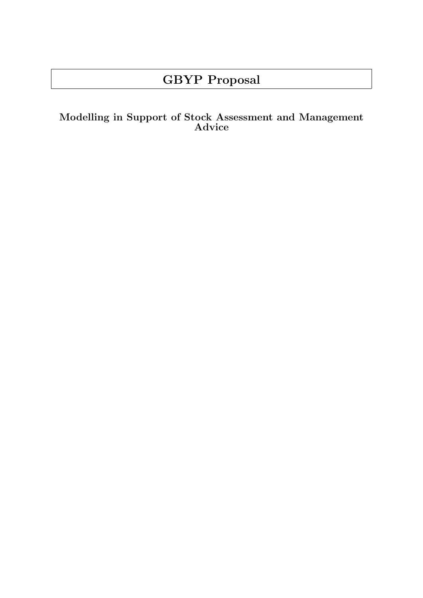### GBYP Proposal

### Modelling in Support of Stock Assessment and Management Advice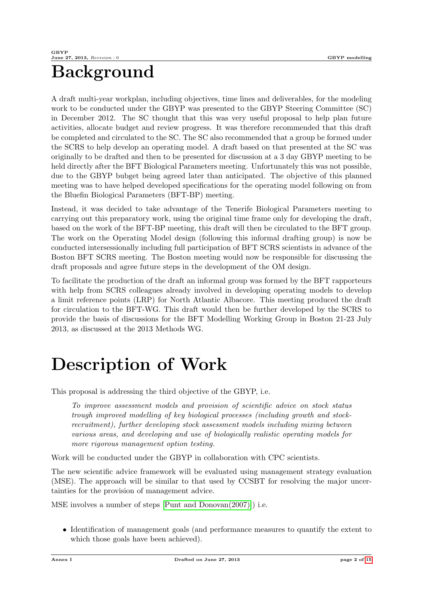# Background

A draft multi-year workplan, including objectives, time lines and deliverables, for the modeling work to be conducted under the GBYP was presented to the GBYP Steering Committee (SC) in December 2012. The SC thought that this was very useful proposal to help plan future activities, allocate budget and review progress. It was therefore recommended that this draft be completed and circulated to the SC. The SC also recommended that a group be formed under the SCRS to help develop an operating model. A draft based on that presented at the SC was originally to be drafted and then to be presented for discussion at a 3 day GBYP meeting to be held directly after the BFT Biological Parameters meeting. Unfortunately this was not possible, due to the GBYP bubget being agreed later than anticipated. The objective of this planned meeting was to have helped developed specifications for the operating model following on from the Bluefin Biological Parameters (BFT-BP) meeting.

Instead, it was decided to take advantage of the Tenerife Biological Parameters meeting to carrying out this preparatory work, using the original time frame only for developing the draft, based on the work of the BFT-BP meeting, this draft will then be circulated to the BFT group. The work on the Operating Model design (following this informal drafting group) is now be conducted intersessionally including full participation of BFT SCRS scientists in advance of the Boston BFT SCRS meeting. The Boston meeting would now be responsible for discussing the draft proposals and agree future steps in the development of the OM design.

To facilitate the production of the draft an informal group was formed by the BFT rapporteurs with help from SCRS colleagues already involved in developing operating models to develop a limit reference points (LRP) for North Atlantic Albacore. This meeting produced the draft for circulation to the BFT-WG. This draft would then be further developed by the SCRS to provide the basis of discussions for the BFT Modelling Working Group in Boston 21-23 July 2013, as discussed at the 2013 Methods WG.

# Description of Work

This proposal is addressing the third objective of the GBYP, i.e.

To improve assessment models and provision of scientific advice on stock status trough improved modelling of key biological processes (including growth and stockrecruitment), further developing stock assessment models including mixing between various areas, and developing and use of biologically realistic operating models for more rigorous management option testing.

Work will be conducted under the GBYP in collaboration with CPC scientists.

The new scientific advice framework will be evaluated using management strategy evaluation (MSE). The approach will be similar to that used by CCSBT for resolving the major uncertainties for the provision of management advice.

MSE involves a number of steps [\[Punt and Donovan\(2007\)\]](#page-14-0)) i.e.

• Identification of management goals (and performance measures to quantify the extent to which those goals have been achieved).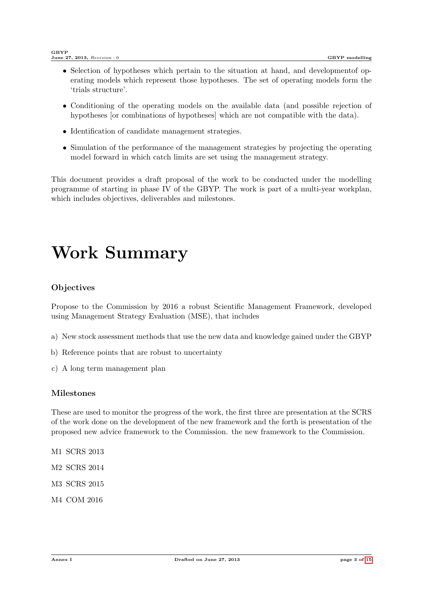- Selection of hypotheses which pertain to the situation at hand, and developmentof operating models which represent those hypotheses. The set of operating models form the 'trials structure'.
- Conditioning of the operating models on the available data (and possible rejection of hypotheses [or combinations of hypotheses] which are not compatible with the data).
- Identification of candidate management strategies.
- Simulation of the performance of the management strategies by projecting the operating model forward in which catch limits are set using the management strategy.

This document provides a draft proposal of the work to be conducted under the modelling programme of starting in phase IV of the GBYP. The work is part of a multi-year workplan, which includes objectives, deliverables and milestones.

## Work Summary

#### Objectives

Propose to the Commission by 2016 a robust Scientific Management Framework, developed using Management Strategy Evaluation (MSE), that includes

- a) New stock assessment methods that use the new data and knowledge gained under the GBYP
- b) Reference points that are robust to uncertainty
- c) A long term management plan

#### Milestones

These are used to monitor the progress of the work, the first three are presentation at the SCRS of the work done on the development of the new framework and the forth is presentation of the proposed new advice framework to the Commission. the new framework to the Commission.

M1 SCRS 2013 M2 SCRS 2014 M3 SCRS 2015

M4 COM 2016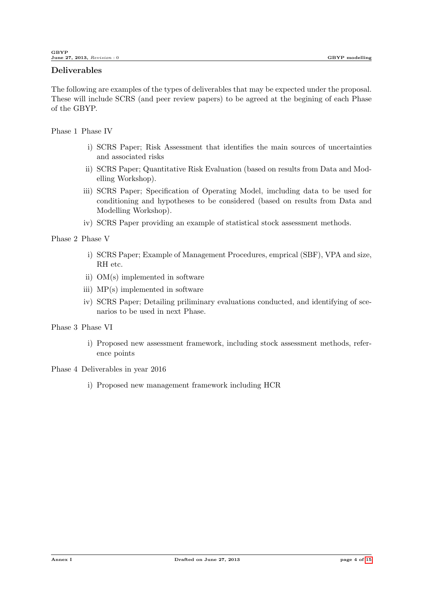#### Deliverables

The following are examples of the types of deliverables that may be expected under the proposal. These will include SCRS (and peer review papers) to be agreed at the begining of each Phase of the GBYP.

#### Phase 1 Phase IV

- i) SCRS Paper; Risk Assessment that identifies the main sources of uncertainties and associated risks
- ii) SCRS Paper; Quantitative Risk Evaluation (based on results from Data and Modelling Workshop).
- iii) SCRS Paper; Specification of Operating Model, imcluding data to be used for conditioning and hypotheses to be considered (based on results from Data and Modelling Workshop).
- iv) SCRS Paper providing an example of statistical stock assessment methods.

Phase 2 Phase V

- i) SCRS Paper; Example of Management Procedures, emprical (SBF), VPA and size, RH etc.
- ii) OM(s) implemented in software
- iii) MP(s) implemented in software
- iv) SCRS Paper; Detailing priliminary evaluations conducted, and identifying of scenarios to be used in next Phase.

#### Phase 3 Phase VI

i) Proposed new assessment framework, including stock assessment methods, reference points

#### Phase 4 Deliverables in year 2016

i) Proposed new management framework including HCR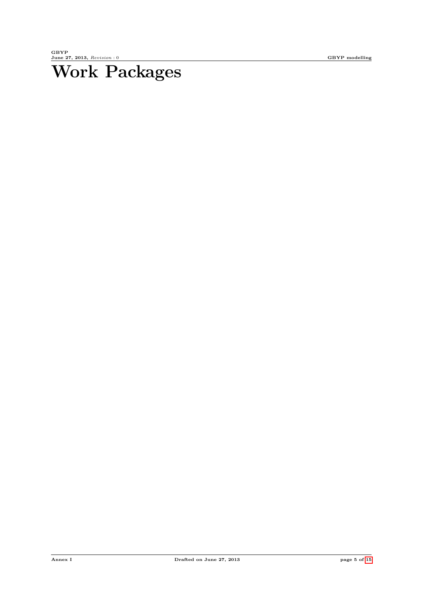GBYP June 27, 2013, Revision : 0 GBYP modelling

# Work Packages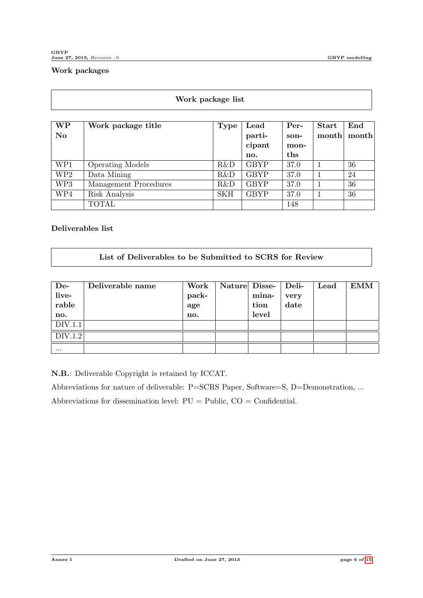#### Work packages

| Work package list |  |
|-------------------|--|
|                   |  |

| <b>WP</b>              | Work package title      | Type       | Lead        | Per- | <b>Start</b> | End   |
|------------------------|-------------------------|------------|-------------|------|--------------|-------|
| $\mathbf{N}\mathbf{o}$ |                         |            | parti-      | son- | month        | month |
|                        |                         |            | cipant      | mon- |              |       |
|                        |                         |            | no.         | ths  |              |       |
| WP1                    | <b>Operating Models</b> | R&D        | <b>GBYP</b> | 37.0 |              | 36    |
| WP <sub>2</sub>        | Data Mining             | R&D        | <b>GBYP</b> | 37.0 |              | 24    |
| WP3                    | Management Procedures   | R&D        | <b>GBYP</b> | 37.0 |              | 36    |
| WP4                    | Risk Analysis           | <b>SKH</b> | <b>GBYP</b> | 37.0 |              | 36    |
|                        | <b>TOTAL</b>            |            |             | 148  |              |       |

#### Deliverables list

| List of Deliverables to be Submitted to SCRS for Review |  |  |  |  |
|---------------------------------------------------------|--|--|--|--|
|                                                         |  |  |  |  |

| De-      | Deliverable name | Work  | Nature Disse- |       | Deli- | Lead | EMM |
|----------|------------------|-------|---------------|-------|-------|------|-----|
| live-    |                  | pack- |               | mina- | very  |      |     |
| rable    |                  | age   |               | tion  | date  |      |     |
| no.      |                  | no.   |               | level |       |      |     |
| DIV.1.1  |                  |       |               |       |       |      |     |
| DIV.1.2  |                  |       |               |       |       |      |     |
| $\cdots$ |                  |       |               |       |       |      |     |

N.B.: Deliverable Copyright is retained by ICCAT.

Abbreviations for nature of deliverable: P=SCRS Paper, Software=S, D=Demonstration, ...

Abbreviations for dissemination level:  $PU = Public$ ,  $CO = Conditional$ .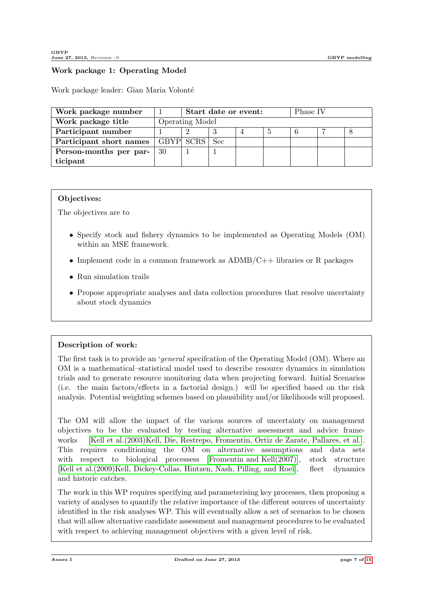#### Work package 1: Operating Model

Work package leader: Gian Maria Volonté

| Work package number                 |    | Phase IV<br>Start date or event: |  |  |  |  |  |  |
|-------------------------------------|----|----------------------------------|--|--|--|--|--|--|
| Work package title                  |    | <b>Operating Model</b>           |  |  |  |  |  |  |
| Participant number                  |    |                                  |  |  |  |  |  |  |
| Participant short names   GBYP SCRS |    | Sec                              |  |  |  |  |  |  |
| Person-months per par-              | 30 |                                  |  |  |  |  |  |  |
| ticipant                            |    |                                  |  |  |  |  |  |  |

#### Objectives:

The objectives are to

- Specify stock and fishery dynamics to be implemented as Operating Models (OM) within an MSE framework.
- Implement code in a common framework as  $\text{ADMB}/\text{C++}$  libraries or R packages
- Run simulation trails
- Propose appropriate analyses and data collection procedures that resolve uncertainty about stock dynamics

#### Description of work:

The first task is to provide an 'general specifcation of the Operating Model (OM). Where an OM is a mathematical–statistical model used to describe resource dynamics in simulation trials and to generate resource monitoring data when projecting forward. Initial Scenarios (i.e. the main factors/effects in a factorial design.) will be specified based on the risk analysis. Potential weighting schemes based on plausibility and/or likelihoods will proposed.

The OM will allow the impact of the various sources of uncertainty on management objectives to be the evaluated by testing alternative assessment and advice frameworks [\[Kell et al.\(2003\)Kell, Die, Restrepo, Fromentin, Ortiz de Zarate, Pallares, et al.\]](#page-14-2). This requires conditioning the OM on alternative assumptions and data sets with respect to biological processess [\[Fromentin and Kell\(2007\)\]](#page-14-3), stock structure [\[Kell et al.\(2009\)Kell, Dickey-Collas, Hintzen, Nash, Pilling, and Roel\]](#page-14-4), fleet dynamics and historic catches.

The work in this WP requires specifying and parameterising key processes, then proposing a variety of analyses to quantify the relative importance of the different sources of uncertainty identified in the risk analyses WP. This will eventually allow a set of scenarios to be chosen that will allow alternative candidate assessment and management procedures to be evaluated with respect to achieving management objectives with a given level of risk.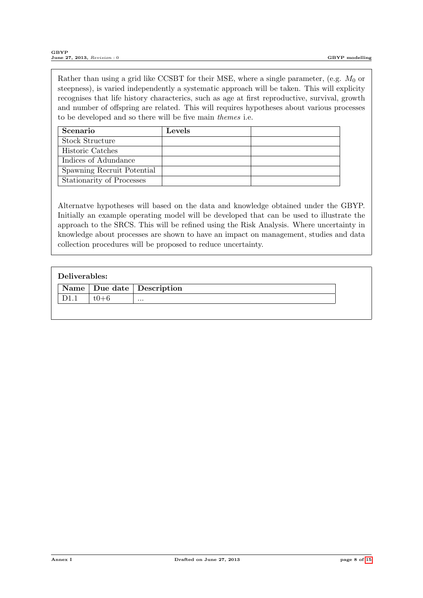Rather than using a grid like CCSBT for their MSE, where a single parameter, (e.g.  $M_0$  or steepness), is varied independently a systematic approach will be taken. This will explicity recognises that life history characterics, such as age at first reproductive, survival, growth and number of offspring are related. This will requires hypotheses about various processes to be developed and so there will be five main themes i.e.

| <b>Scenario</b>            | Levels |  |
|----------------------------|--------|--|
| Stock Structure            |        |  |
| Historic Catches           |        |  |
| Indices of Adundance       |        |  |
| Spawning Recruit Potential |        |  |
| Stationarity of Processes  |        |  |

Alternatve hypotheses will based on the data and knowledge obtained under the GBYP. Initially an example operating model will be developed that can be used to illustrate the approach to the SRCS. This will be refined using the Risk Analysis. Where uncertainty in knowledge about processes are shown to have an impact on management, studies and data collection procedures will be proposed to reduce uncertainty.

| Deliverables:  |                               |  |
|----------------|-------------------------------|--|
|                | Name   Due date   Description |  |
| D1.1<br>$t0+6$ | $\cdots$                      |  |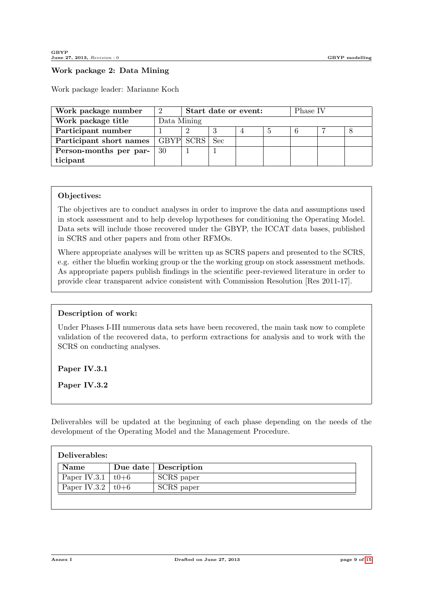#### Work package 2: Data Mining

Work package leader: Marianne Koch

| Work package number                 |    | Start date or event:<br>Phase IV |  |  |  |  |  |  |
|-------------------------------------|----|----------------------------------|--|--|--|--|--|--|
| Work package title                  |    | Data Mining                      |  |  |  |  |  |  |
| Participant number                  |    |                                  |  |  |  |  |  |  |
| Participant short names   GBYP SCRS |    | $\operatorname{Sec}$             |  |  |  |  |  |  |
| Person-months per par-              | 30 |                                  |  |  |  |  |  |  |
| ticipant                            |    |                                  |  |  |  |  |  |  |

#### Objectives:

The objectives are to conduct analyses in order to improve the data and assumptions used in stock assessment and to help develop hypotheses for conditioning the Operating Model. Data sets will include those recovered under the GBYP, the ICCAT data bases, published in SCRS and other papers and from other RFMOs.

Where appropriate analyses will be written up as SCRS papers and presented to the SCRS, e.g. either the bluefin working group or the the working group on stock assessment methods. As appropriate papers publish findings in the scientific peer-reviewed literature in order to provide clear transparent advice consistent with Commission Resolution [Res 2011-17].

#### Description of work:

Under Phases I-III numerous data sets have been recovered, the main task now to complete validation of the recovered data, to perform extractions for analysis and to work with the SCRS on conducting analyses.

Paper IV.3.1

Paper IV.3.2

Deliverables will be updated at the beginning of each phase depending on the needs of the development of the Operating Model and the Management Procedure.

| Deliverables:         |                        |
|-----------------------|------------------------|
| <b>Name</b>           | Due date   Description |
| Paper IV.3.1   $t0+6$ | SCRS paper             |
| Paper IV.3.2   $t0+6$ | SCRS paper             |
|                       |                        |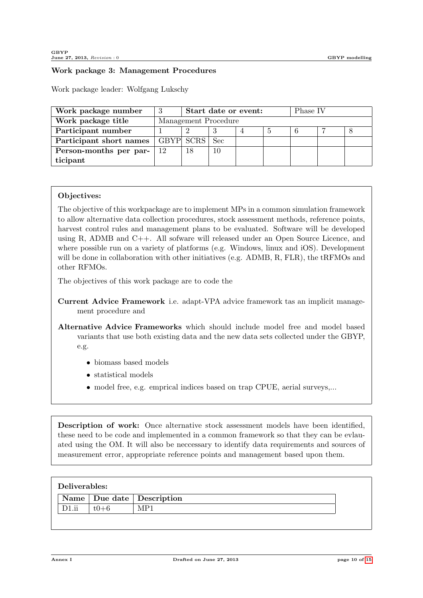#### Work package 3: Management Procedures

Work package leader: Wolfgang Lukschy

| Work package number                 | -3   | Start date or event:<br>Phase IV |  |  |  |  |  |  |  |
|-------------------------------------|------|----------------------------------|--|--|--|--|--|--|--|
| Work package title                  |      | Management Procedure             |  |  |  |  |  |  |  |
| Participant number                  |      |                                  |  |  |  |  |  |  |  |
| Participant short names   GBYP SCRS |      | <b>Sec</b>                       |  |  |  |  |  |  |  |
| Person-months per par-              | - 12 | 18<br>10                         |  |  |  |  |  |  |  |
| ticipant                            |      |                                  |  |  |  |  |  |  |  |

#### Objectives:

The objective of this workpackage are to implement MPs in a common simulation framework to allow alternative data collection procedures, stock assessment methods, reference points, harvest control rules and management plans to be evaluated. Software will be developed using R, ADMB and C++. All sofware will released under an Open Source Licence, and where possible run on a variety of platforms (e.g. Windows, linux and iOS). Development will be done in collaboration with other initiatives (e.g. ADMB, R, FLR), the tRFMOs and other RFMOs.

The objectives of this work package are to code the

Current Advice Framework i.e. adapt-VPA advice framework tas an implicit management procedure and

- biomass based models
- statistical models
- model free, e.g. emprical indices based on trap CPUE, aerial surveys,...

Description of work: Once alternative stock assessment models have been identified, these need to be code and implemented in a common framework so that they can be evlauated using the OM. It will also be neccessary to identify data requirements and sources of measurement error, appropriate reference points and management based upon them.

| Name   Due date   Description<br>MP1<br>$+0+6$ | Deliverables: |  |
|------------------------------------------------|---------------|--|
|                                                |               |  |
|                                                | D1.ii         |  |

Alternative Advice Frameworks which should include model free and model based variants that use both existing data and the new data sets collected under the GBYP, e.g.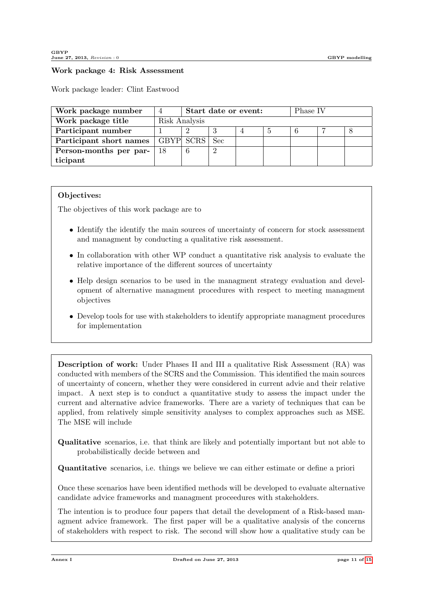#### Work package 4: Risk Assessment

Work package leader: Clint Eastwood

| Work package number     |           | Start date or event:<br>Phase IV |            |  |  |  |  |  |
|-------------------------|-----------|----------------------------------|------------|--|--|--|--|--|
| Work package title      |           | Risk Analysis                    |            |  |  |  |  |  |
| Participant number      |           |                                  |            |  |  |  |  |  |
| Participant short names | GBYP SCRS |                                  | <b>Sec</b> |  |  |  |  |  |
| Person-months per par-  | 18        |                                  |            |  |  |  |  |  |
| ticipant                |           |                                  |            |  |  |  |  |  |

#### Objectives:

The objectives of this work package are to

- Identify the identify the main sources of uncertainty of concern for stock assessment and managment by conducting a qualitative risk assessment.
- In collaboration with other WP conduct a quantitative risk analysis to evaluate the relative importance of the different sources of uncertainty
- Help design scenarios to be used in the managment strategy evaluation and development of alternative managment procedures with respect to meeting managment objectives
- Develop tools for use with stakeholders to identify appropriate managment procedures for implementation

Description of work: Under Phases II and III a qualitative Risk Assessment (RA) was conducted with members of the SCRS and the Commission. This identified the main sources of uncertainty of concern, whether they were considered in current advie and their relative impact. A next step is to conduct a quantitative study to assess the impact under the current and alternative advice frameworks. There are a variety of techniques that can be applied, from relatively simple sensitivity analyses to complex approaches such as MSE. The MSE will include

Qualitative scenarios, i.e. that think are likely and potentially important but not able to probabilistically decide between and

Quantitative scenarios, i.e. things we believe we can either estimate or define a priori

Once these scenarios have been identified methods will be developed to evaluate alternative candidate advice frameworks and managment proceedures with stakeholders.

The intention is to produce four papers that detail the development of a Risk-based managment advice framework. The first paper will be a qualitative analysis of the concerns of stakeholders with respect to risk. The second will show how a qualitative study can be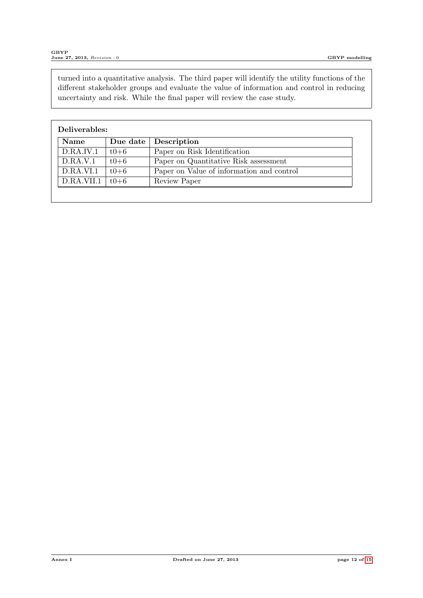turned into a quantitative analysis. The third paper will identify the utility functions of the different stakeholder groups and evaluate the value of information and control in reducing uncertainty and risk. While the final paper will review the case study.

| <b>Name</b> | Due date | Description                               |  |
|-------------|----------|-------------------------------------------|--|
| D.RA.IV.1   | $t0+6$   | Paper on Risk Identification              |  |
| D.RA.V.1    | $t0+6$   | Paper on Quantitative Risk assessment     |  |
| D.RA.VI.1   | $t0+6$   | Paper on Value of information and control |  |
| D.RA.VII.1  | $t0+6$   | Review Paper                              |  |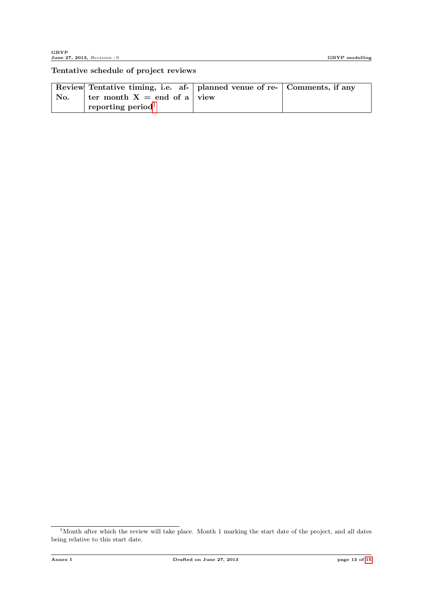Tentative schedule of project reviews

|     | Review Tentative timing, i.e. af- planned venue of re- Comments, if any |  |
|-----|-------------------------------------------------------------------------|--|
| No. | ter month $X = end$ of a   view                                         |  |
|     | reporting period $\mathbf{I}$                                           |  |

<span id="page-12-0"></span><sup>&</sup>lt;sup>1</sup>Month after which the review will take place. Month 1 marking the start date of the project, and all dates being relative to this start date.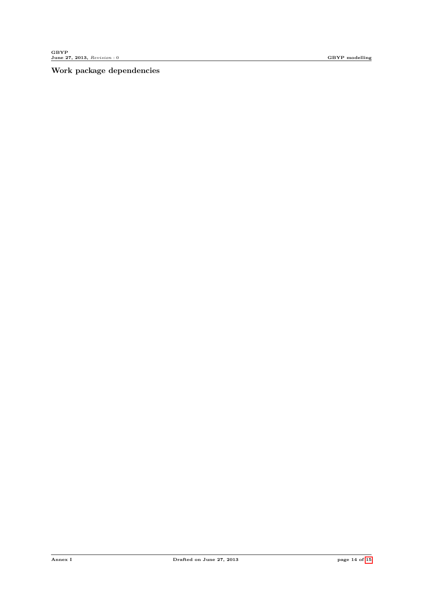### Work package dependencies